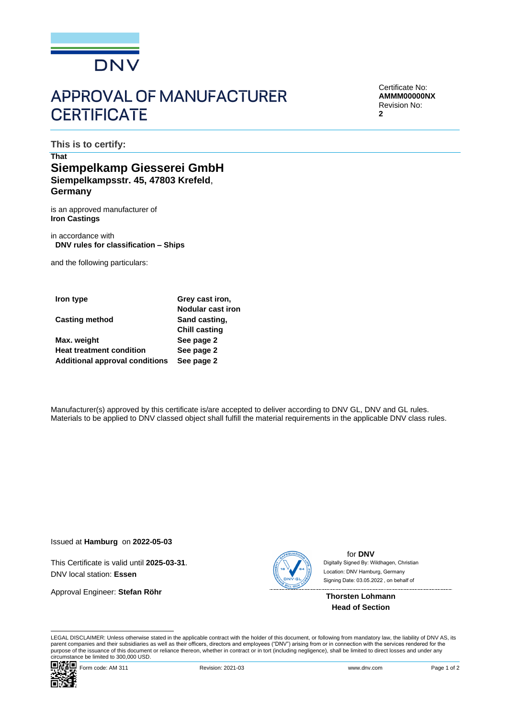

## **APPROVAL OF MANUFACTURER CERTIFICATE**

Certificate No: **AMMM00000NX** Revision No: **2**

**This is to certify:**

## **That Siempelkamp Giesserei GmbH Siempelkampsstr. 45, 47803 Krefeld**, **Germany**

is an approved manufacturer of **Iron Castings**

in accordance with **DNV rules for classification – Ships**

and the following particulars:

| Iron type                             | Grey cast iron,          |  |
|---------------------------------------|--------------------------|--|
|                                       | <b>Nodular cast iron</b> |  |
| <b>Casting method</b>                 | Sand casting,            |  |
|                                       | <b>Chill casting</b>     |  |
| Max. weight                           | See page 2               |  |
| <b>Heat treatment condition</b>       | See page 2               |  |
| <b>Additional approval conditions</b> | See page 2               |  |

Manufacturer(s) approved by this certificate is/are accepted to deliver according to DNV GL, DNV and GL rules. Materials to be applied to DNV classed object shall fulfill the material requirements in the applicable DNV class rules.

Issued at **Hamburg** on **2022-05-03**

This Certificate is valid until **2025-03-31**. DNV local station: **Essen**

Approval Engineer: **Stefan Röhr**



for **DNV** Signing Date: 03.05.2022 , on behalf ofDigitally Signed By: Wildhagen, Christian Location: DNV Hamburg, Germany

**Thorsten Lohmann Head of Section**

LEGAL DISCLAIMER: Unless otherwise stated in the applicable contract with the holder of this document, or following from mandatory law, the liability of DNV AS, its<br>parent companies and their subsidiaries as well as their purpose of the issuance of this document or reliance thereon, whether in contract or in tort (including negligence), shall be limited to direct losses and under any circumstance be limited to 300,000 USD.